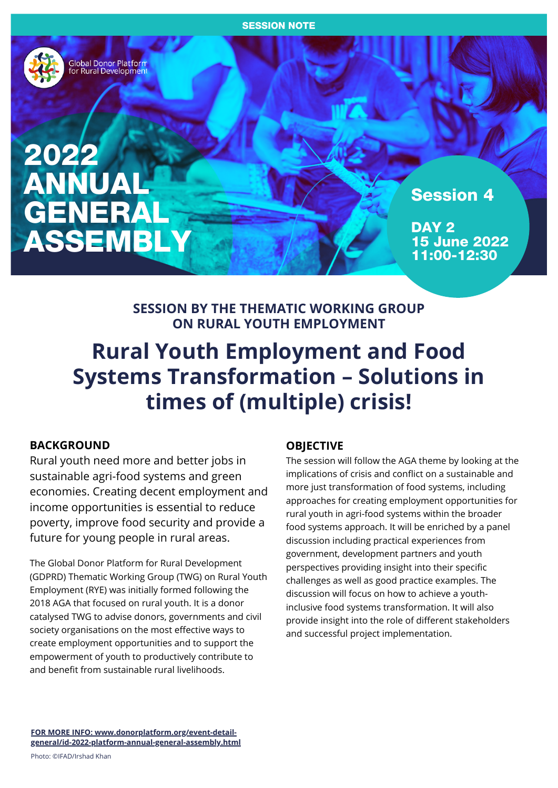

Global Donor Platform<br>for Rural Development

2022 ANNUAL **GENERAL** ASSEMBLY

Session 4

DAY<sub>2</sub> 15 June 2022 11:00-12:30

# **SESSION BY THE THEMATIC WORKING GROUP ON RURAL YOUTH EMPLOYMENT**

# **Rural Youth Employment and Food Systems Transformation – Solutions in times of (multiple) crisis!**

# **BACKGROUND**

Rural youth need more and better jobs in sustainable agri-food systems and green economies. Creating decent employment and income opportunities is essential to reduce poverty, improve food security and provide a future for young people in rural areas.

The Global Donor Platform for Rural Development (GDPRD) Thematic Working Group (TWG) on Rural Youth Employment (RYE) was initially formed following the 2018 AGA that focused on rural youth. It is a donor catalysed TWG to advise donors, governments and civil society organisations on the most effective ways to create employment opportunities and to support the empowerment of youth to productively contribute to and benefit from sustainable rural livelihoods.

# **OBJECTIVE**

The session will follow the AGA theme by looking at the implications of crisis and conflict on a sustainable and more just transformation of food systems, including approaches for creating employment opportunities for rural youth in agri-food systems within the broader food systems approach. It will be enriched by a panel discussion including practical experiences from government, development partners and youth perspectives providing insight into their specific challenges as well as good practice examples. The discussion will focus on how to achieve a youthinclusive food systems transformation. It will also provide insight into the role of different stakeholders and successful project implementation.